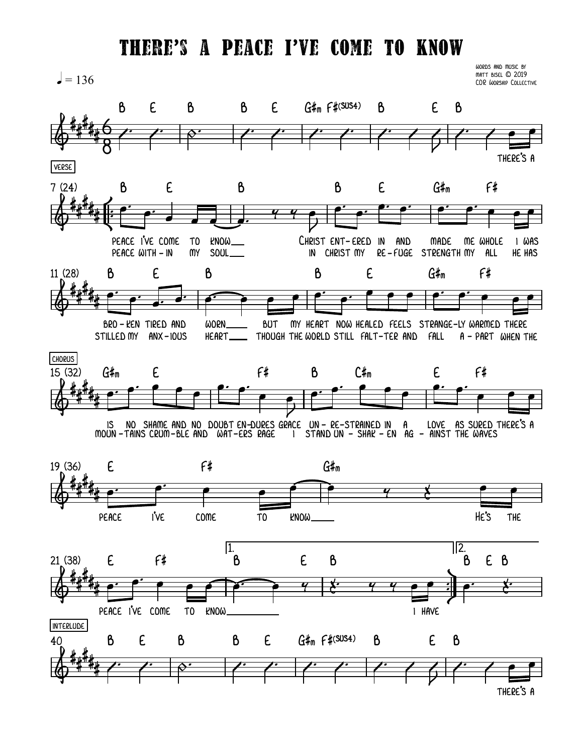## THERE'S A PEACE I'VE COME TO KNOW

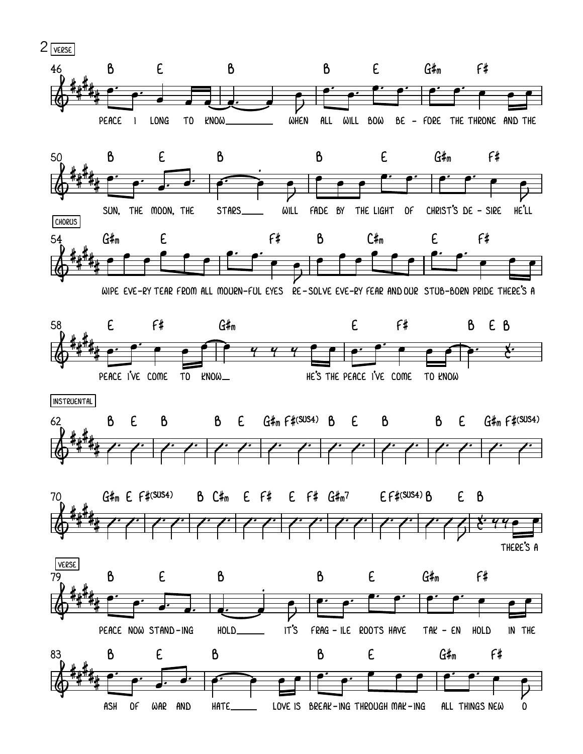